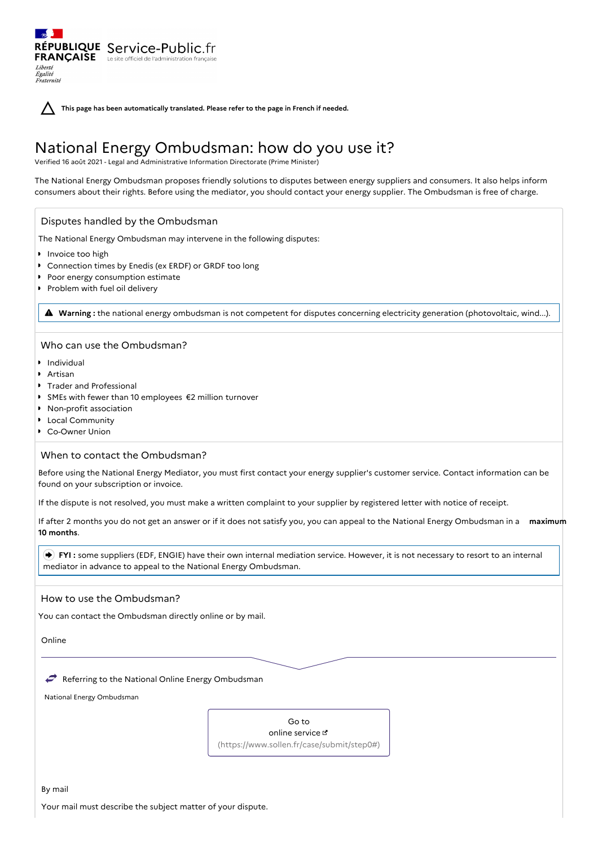**This page has been automatically translated. Please refer to the page in French if needed.**

# National Energy Ombudsman: how do you use it?

Verified 16 août 2021 - Legal and Administrative Information Directorate (Prime Minister)

The National Energy Ombudsman proposes friendly solutions to disputes between energy suppliers and consumers. It also helps inform consumers about their rights. Before using the mediator, you should contact your energy supplier. The Ombudsman is free of charge.

# Disputes handled by the Ombudsman

RÉPUBLIQUE Service-Public.fr **FRANÇAISE** Le site officiel de l'administration fran

The National Energy Ombudsman may intervene in the following disputes:

Invoice too high

Liberté Égalité<br>Fraternité

- Connection times by Enedis (ex ERDF) or GRDF too long
- Poor energy consumption estimate
- Problem with fuel oil delivery  $\bullet$

**Warning :** the national energy ombudsman is not competent for disputes concerning electricity generation (photovoltaic, wind...).

# Who can use the Ombudsman?

- Individual
- Artisan
- Trader and Professional
- SMEs with fewer than 10 employees €2 million turnover
- Non-profit association
- Local Community
- Co-Owner Union

## When to contact the Ombudsman?

Before using the National Energy Mediator, you must first contact your energy supplier's customer service. Contact information can be found on your subscription or invoice.

If the dispute is not resolved, you must make a written complaint to your supplier by registered letter with notice of receipt.

If after 2 months you do not get an answer or if it does not satisfy you, you can appeal to the National Energy Ombudsman in a **maximum 10 months**.

 **FYI :** some suppliers (EDF, ENGIE) have their own internal mediation service. However, it is not necessary to resort to an internal mediator in advance to appeal to the National Energy Ombudsman.

# How to use the Ombudsman?

You can contact the Ombudsman directly online or by mail.

Online

Referring to the National Online Energy Ombudsman

National Energy Ombudsman

Go to online service  $\sigma$ [\(https://www.sollen.fr/case/submit/step0#\)](https://www.sollen.fr/case/submit/step0#)

By mail

Your mail must describe the subject matter of your dispute.